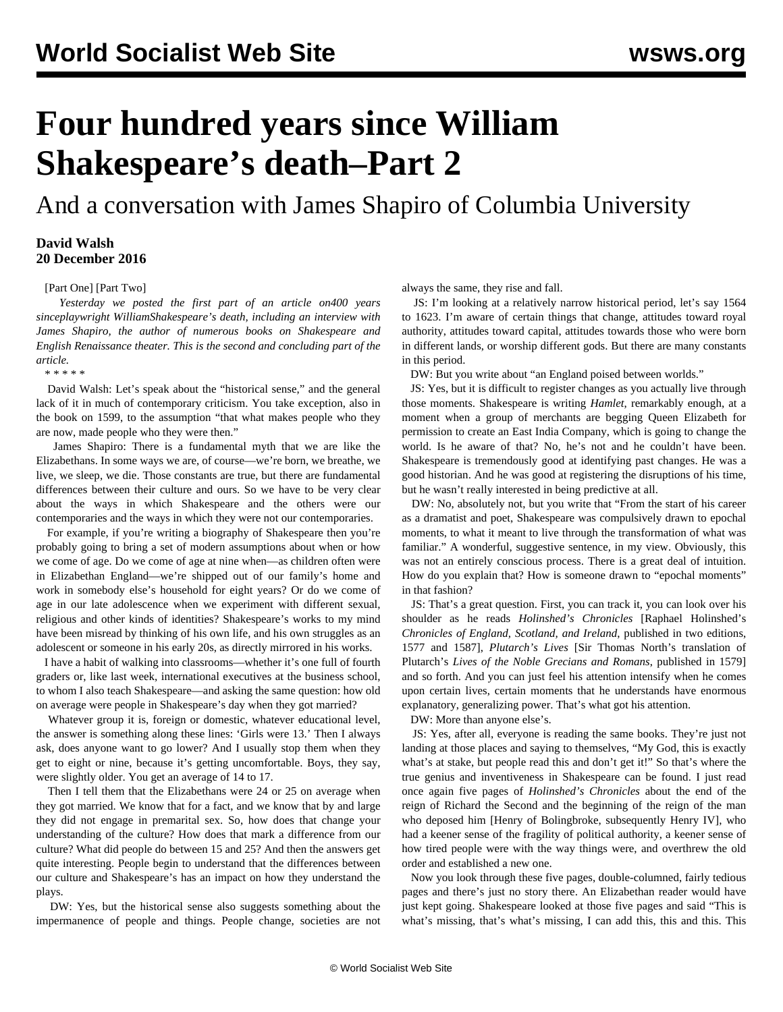## **Four hundred years since William Shakespeare's death–Part 2**

And a conversation with James Shapiro of Columbia University

## **David Walsh 20 December 2016**

[\[Part One\]](/en/articles/2016/12/19/shk1-d19.html) [\[Part Two](/en/articles/2016/12/20/shk2-d20.html)]

 *Yesterday we posted the [first part](/en/articles/2016/12/19/shk1-d19.html) of an article on400 years sinceplaywright WilliamShakespeare's death, including an interview with James Shapiro, the author of numerous books on Shakespeare and English Renaissance theater. This is the second and concluding part of the article.*

\* \* \* \* \*

 David Walsh: Let's speak about the "historical sense," and the general lack of it in much of contemporary criticism. You take exception, also in the book on 1599, to the assumption "that what makes people who they are now, made people who they were then."

 James Shapiro: There is a fundamental myth that we are like the Elizabethans. In some ways we are, of course—we're born, we breathe, we live, we sleep, we die. Those constants are true, but there are fundamental differences between their culture and ours. So we have to be very clear about the ways in which Shakespeare and the others were our contemporaries and the ways in which they were not our contemporaries.

 For example, if you're writing a biography of Shakespeare then you're probably going to bring a set of modern assumptions about when or how we come of age. Do we come of age at nine when—as children often were in Elizabethan England—we're shipped out of our family's home and work in somebody else's household for eight years? Or do we come of age in our late adolescence when we experiment with different sexual, religious and other kinds of identities? Shakespeare's works to my mind have been misread by thinking of his own life, and his own struggles as an adolescent or someone in his early 20s, as directly mirrored in his works.

 I have a habit of walking into classrooms—whether it's one full of fourth graders or, like last week, international executives at the business school, to whom I also teach Shakespeare—and asking the same question: how old on average were people in Shakespeare's day when they got married?

 Whatever group it is, foreign or domestic, whatever educational level, the answer is something along these lines: 'Girls were 13.' Then I always ask, does anyone want to go lower? And I usually stop them when they get to eight or nine, because it's getting uncomfortable. Boys, they say, were slightly older. You get an average of 14 to 17.

 Then I tell them that the Elizabethans were 24 or 25 on average when they got married. We know that for a fact, and we know that by and large they did not engage in premarital sex. So, how does that change your understanding of the culture? How does that mark a difference from our culture? What did people do between 15 and 25? And then the answers get quite interesting. People begin to understand that the differences between our culture and Shakespeare's has an impact on how they understand the plays.

 DW: Yes, but the historical sense also suggests something about the impermanence of people and things. People change, societies are not always the same, they rise and fall.

 JS: I'm looking at a relatively narrow historical period, let's say 1564 to 1623. I'm aware of certain things that change, attitudes toward royal authority, attitudes toward capital, attitudes towards those who were born in different lands, or worship different gods. But there are many constants in this period.

DW: But you write about "an England poised between worlds."

 JS: Yes, but it is difficult to register changes as you actually live through those moments. Shakespeare is writing *Hamlet*, remarkably enough, at a moment when a group of merchants are begging Queen Elizabeth for permission to create an East India Company, which is going to change the world. Is he aware of that? No, he's not and he couldn't have been. Shakespeare is tremendously good at identifying past changes. He was a good historian. And he was good at registering the disruptions of his time, but he wasn't really interested in being predictive at all.

 DW: No, absolutely not, but you write that "From the start of his career as a dramatist and poet, Shakespeare was compulsively drawn to epochal moments, to what it meant to live through the transformation of what was familiar." A wonderful, suggestive sentence, in my view. Obviously, this was not an entirely conscious process. There is a great deal of intuition. How do you explain that? How is someone drawn to "epochal moments" in that fashion?

 JS: That's a great question. First, you can track it, you can look over his shoulder as he reads *Holinshed's Chronicles* [Raphael Holinshed's *Chronicles of England, Scotland, and Ireland*, published in two editions, 1577 and 1587], *Plutarch's Lives* [Sir Thomas North's translation of Plutarch's *Lives of the Noble Grecians and Romans*, published in 1579] and so forth. And you can just feel his attention intensify when he comes upon certain lives, certain moments that he understands have enormous explanatory, generalizing power. That's what got his attention.

DW: More than anyone else's.

 JS: Yes, after all, everyone is reading the same books. They're just not landing at those places and saying to themselves, "My God, this is exactly what's at stake, but people read this and don't get it!" So that's where the true genius and inventiveness in Shakespeare can be found. I just read once again five pages of *Holinshed's Chronicles* about the end of the reign of Richard the Second and the beginning of the reign of the man who deposed him [Henry of Bolingbroke, subsequently Henry IV], who had a keener sense of the fragility of political authority, a keener sense of how tired people were with the way things were, and overthrew the old order and established a new one.

 Now you look through these five pages, double-columned, fairly tedious pages and there's just no story there. An Elizabethan reader would have just kept going. Shakespeare looked at those five pages and said "This is what's missing, that's what's missing, I can add this, this and this. This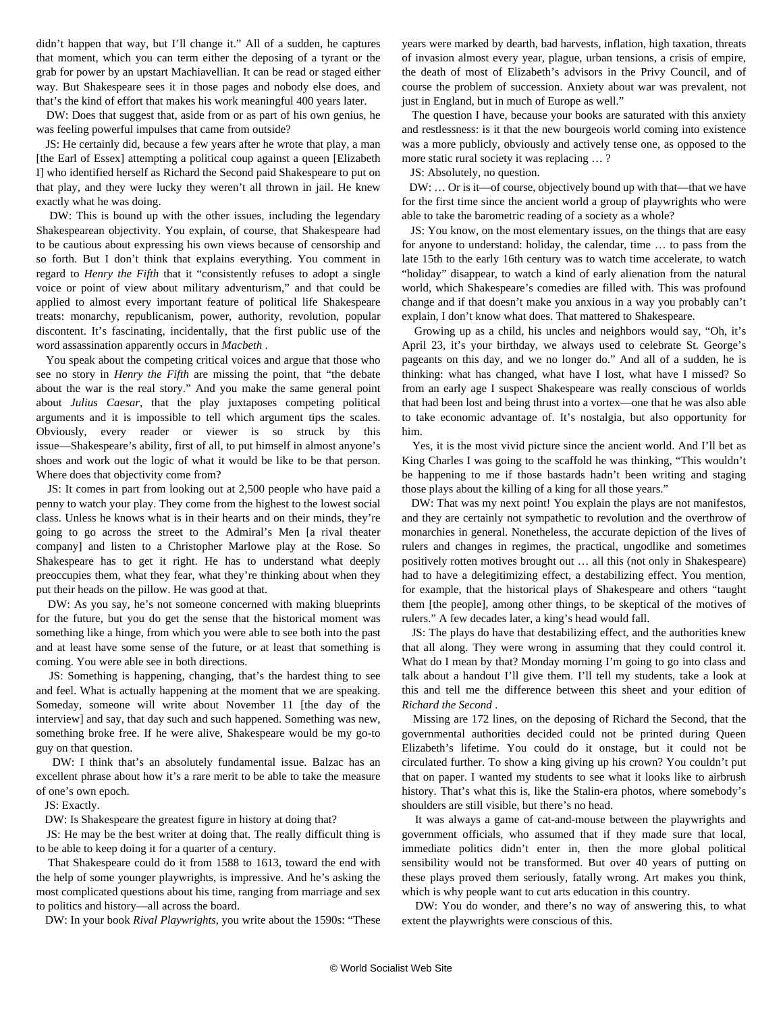didn't happen that way, but I'll change it." All of a sudden, he captures that moment, which you can term either the deposing of a tyrant or the grab for power by an upstart Machiavellian. It can be read or staged either way. But Shakespeare sees it in those pages and nobody else does, and that's the kind of effort that makes his work meaningful 400 years later.

 DW: Does that suggest that, aside from or as part of his own genius, he was feeling powerful impulses that came from outside?

 JS: He certainly did, because a few years after he wrote that play, a man [the Earl of Essex] attempting a political coup against a queen [Elizabeth] I] who identified herself as Richard the Second paid Shakespeare to put on that play, and they were lucky they weren't all thrown in jail. He knew exactly what he was doing.

 DW: This is bound up with the other issues, including the legendary Shakespearean objectivity. You explain, of course, that Shakespeare had to be cautious about expressing his own views because of censorship and so forth. But I don't think that explains everything. You comment in regard to *Henry the Fifth* that it "consistently refuses to adopt a single voice or point of view about military adventurism," and that could be applied to almost every important feature of political life Shakespeare treats: monarchy, republicanism, power, authority, revolution, popular discontent. It's fascinating, incidentally, that the first public use of the word assassination apparently occurs in *Macbeth* .

 You speak about the competing critical voices and argue that those who see no story in *Henry the Fifth* are missing the point, that "the debate about the war is the real story." And you make the same general point about *Julius Caesar*, that the play juxtaposes competing political arguments and it is impossible to tell which argument tips the scales. Obviously, every reader or viewer is so struck by this issue—Shakespeare's ability, first of all, to put himself in almost anyone's shoes and work out the logic of what it would be like to be that person. Where does that objectivity come from?

 JS: It comes in part from looking out at 2,500 people who have paid a penny to watch your play. They come from the highest to the lowest social class. Unless he knows what is in their hearts and on their minds, they're going to go across the street to the Admiral's Men [a rival theater company] and listen to a Christopher Marlowe play at the Rose. So Shakespeare has to get it right. He has to understand what deeply preoccupies them, what they fear, what they're thinking about when they put their heads on the pillow. He was good at that.

 DW: As you say, he's not someone concerned with making blueprints for the future, but you do get the sense that the historical moment was something like a hinge, from which you were able to see both into the past and at least have some sense of the future, or at least that something is coming. You were able see in both directions.

 JS: Something is happening, changing, that's the hardest thing to see and feel. What is actually happening at the moment that we are speaking. Someday, someone will write about November 11 [the day of the interview] and say, that day such and such happened. Something was new, something broke free. If he were alive, Shakespeare would be my go-to guy on that question.

 DW: I think that's an absolutely fundamental issue. Balzac has an excellent phrase about how it's a rare merit to be able to take the measure of one's own epoch.

JS: Exactly.

DW: Is Shakespeare the greatest figure in history at doing that?

 JS: He may be the best writer at doing that. The really difficult thing is to be able to keep doing it for a quarter of a century.

 That Shakespeare could do it from 1588 to 1613, toward the end with the help of some younger playwrights, is impressive. And he's asking the most complicated questions about his time, ranging from marriage and sex to politics and history—all across the board.

DW: In your book *Rival Playwrights*, you write about the 1590s: "These

years were marked by dearth, bad harvests, inflation, high taxation, threats of invasion almost every year, plague, urban tensions, a crisis of empire, the death of most of Elizabeth's advisors in the Privy Council, and of course the problem of succession. Anxiety about war was prevalent, not just in England, but in much of Europe as well."

 The question I have, because your books are saturated with this anxiety and restlessness: is it that the new bourgeois world coming into existence was a more publicly, obviously and actively tense one, as opposed to the more static rural society it was replacing … ?

JS: Absolutely, no question.

 DW: … Or is it—of course, objectively bound up with that—that we have for the first time since the ancient world a group of playwrights who were able to take the barometric reading of a society as a whole?

 JS: You know, on the most elementary issues, on the things that are easy for anyone to understand: holiday, the calendar, time … to pass from the late 15th to the early 16th century was to watch time accelerate, to watch "holiday" disappear, to watch a kind of early alienation from the natural world, which Shakespeare's comedies are filled with. This was profound change and if that doesn't make you anxious in a way you probably can't explain, I don't know what does. That mattered to Shakespeare.

 Growing up as a child, his uncles and neighbors would say, "Oh, it's April 23, it's your birthday, we always used to celebrate St. George's pageants on this day, and we no longer do." And all of a sudden, he is thinking: what has changed, what have I lost, what have I missed? So from an early age I suspect Shakespeare was really conscious of worlds that had been lost and being thrust into a vortex—one that he was also able to take economic advantage of. It's nostalgia, but also opportunity for him.

 Yes, it is the most vivid picture since the ancient world. And I'll bet as King Charles I was going to the scaffold he was thinking, "This wouldn't be happening to me if those bastards hadn't been writing and staging those plays about the killing of a king for all those years."

 DW: That was my next point! You explain the plays are not manifestos, and they are certainly not sympathetic to revolution and the overthrow of monarchies in general. Nonetheless, the accurate depiction of the lives of rulers and changes in regimes, the practical, ungodlike and sometimes positively rotten motives brought out … all this (not only in Shakespeare) had to have a delegitimizing effect, a destabilizing effect. You mention, for example, that the historical plays of Shakespeare and others "taught them [the people], among other things, to be skeptical of the motives of rulers." A few decades later, a king's head would fall.

 JS: The plays do have that destabilizing effect, and the authorities knew that all along. They were wrong in assuming that they could control it. What do I mean by that? Monday morning I'm going to go into class and talk about a handout I'll give them. I'll tell my students, take a look at this and tell me the difference between this sheet and your edition of *Richard the Second* .

 Missing are 172 lines, on the deposing of Richard the Second, that the governmental authorities decided could not be printed during Queen Elizabeth's lifetime. You could do it onstage, but it could not be circulated further. To show a king giving up his crown? You couldn't put that on paper. I wanted my students to see what it looks like to airbrush history. That's what this is, like the Stalin-era photos, where somebody's shoulders are still visible, but there's no head.

 It was always a game of cat-and-mouse between the playwrights and government officials, who assumed that if they made sure that local, immediate politics didn't enter in, then the more global political sensibility would not be transformed. But over 40 years of putting on these plays proved them seriously, fatally wrong. Art makes you think, which is why people want to cut arts education in this country.

 DW: You do wonder, and there's no way of answering this, to what extent the playwrights were conscious of this.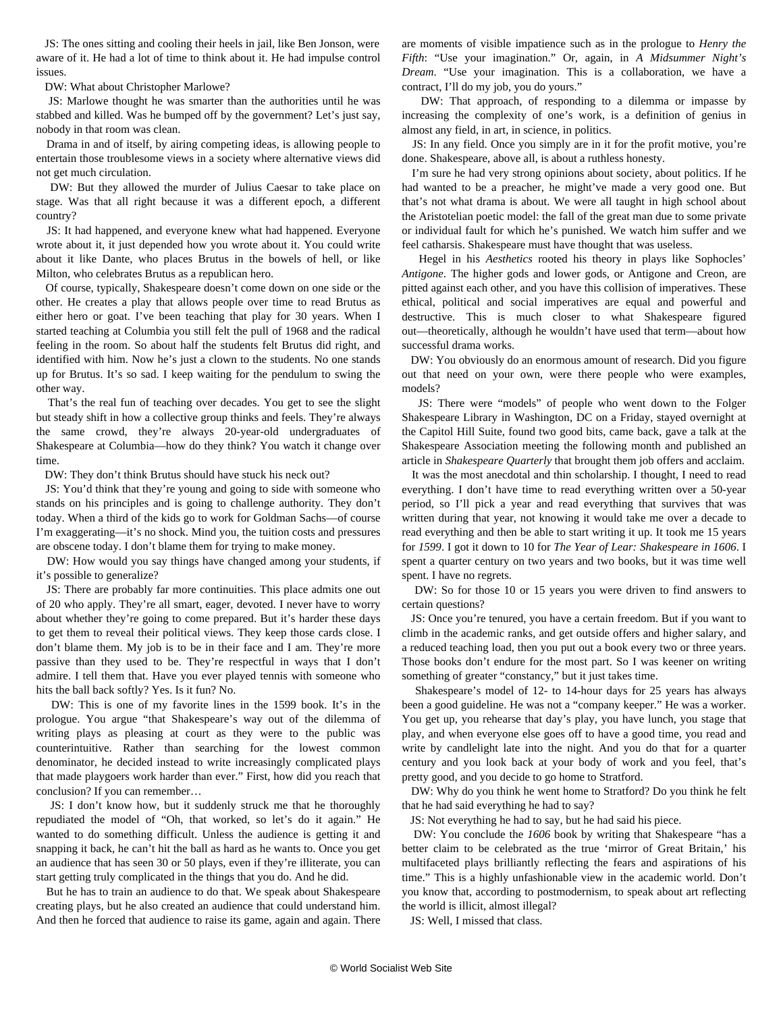JS: The ones sitting and cooling their heels in jail, like Ben Jonson, were aware of it. He had a lot of time to think about it. He had impulse control issues.

DW: What about Christopher Marlowe?

 JS: Marlowe thought he was smarter than the authorities until he was stabbed and killed. Was he bumped off by the government? Let's just say, nobody in that room was clean.

 Drama in and of itself, by airing competing ideas, is allowing people to entertain those troublesome views in a society where alternative views did not get much circulation.

 DW: But they allowed the murder of Julius Caesar to take place on stage. Was that all right because it was a different epoch, a different country?

 JS: It had happened, and everyone knew what had happened. Everyone wrote about it, it just depended how you wrote about it. You could write about it like Dante, who places Brutus in the bowels of hell, or like Milton, who celebrates Brutus as a republican hero.

 Of course, typically, Shakespeare doesn't come down on one side or the other. He creates a play that allows people over time to read Brutus as either hero or goat. I've been teaching that play for 30 years. When I started teaching at Columbia you still felt the pull of 1968 and the radical feeling in the room. So about half the students felt Brutus did right, and identified with him. Now he's just a clown to the students. No one stands up for Brutus. It's so sad. I keep waiting for the pendulum to swing the other way.

 That's the real fun of teaching over decades. You get to see the slight but steady shift in how a collective group thinks and feels. They're always the same crowd, they're always 20-year-old undergraduates of Shakespeare at Columbia—how do they think? You watch it change over time.

DW: They don't think Brutus should have stuck his neck out?

 JS: You'd think that they're young and going to side with someone who stands on his principles and is going to challenge authority. They don't today. When a third of the kids go to work for Goldman Sachs—of course I'm exaggerating—it's no shock. Mind you, the tuition costs and pressures are obscene today. I don't blame them for trying to make money.

 DW: How would you say things have changed among your students, if it's possible to generalize?

 JS: There are probably far more continuities. This place admits one out of 20 who apply. They're all smart, eager, devoted. I never have to worry about whether they're going to come prepared. But it's harder these days to get them to reveal their political views. They keep those cards close. I don't blame them. My job is to be in their face and I am. They're more passive than they used to be. They're respectful in ways that I don't admire. I tell them that. Have you ever played tennis with someone who hits the ball back softly? Yes. Is it fun? No.

 DW: This is one of my favorite lines in the 1599 book. It's in the prologue. You argue "that Shakespeare's way out of the dilemma of writing plays as pleasing at court as they were to the public was counterintuitive. Rather than searching for the lowest common denominator, he decided instead to write increasingly complicated plays that made playgoers work harder than ever." First, how did you reach that conclusion? If you can remember…

 JS: I don't know how, but it suddenly struck me that he thoroughly repudiated the model of "Oh, that worked, so let's do it again." He wanted to do something difficult. Unless the audience is getting it and snapping it back, he can't hit the ball as hard as he wants to. Once you get an audience that has seen 30 or 50 plays, even if they're illiterate, you can start getting truly complicated in the things that you do. And he did.

 But he has to train an audience to do that. We speak about Shakespeare creating plays, but he also created an audience that could understand him. And then he forced that audience to raise its game, again and again. There are moments of visible impatience such as in the prologue to *Henry the Fifth*: "Use your imagination." Or, again, in *A Midsummer Night's Dream*. "Use your imagination. This is a collaboration, we have a contract, I'll do my job, you do yours."

 DW: That approach, of responding to a dilemma or impasse by increasing the complexity of one's work, is a definition of genius in almost any field, in art, in science, in politics.

 JS: In any field. Once you simply are in it for the profit motive, you're done. Shakespeare, above all, is about a ruthless honesty.

 I'm sure he had very strong opinions about society, about politics. If he had wanted to be a preacher, he might've made a very good one. But that's not what drama is about. We were all taught in high school about the Aristotelian poetic model: the fall of the great man due to some private or individual fault for which he's punished. We watch him suffer and we feel catharsis. Shakespeare must have thought that was useless.

 Hegel in his *Aesthetics* rooted his theory in plays like Sophocles' *Antigone*. The higher gods and lower gods, or Antigone and Creon, are pitted against each other, and you have this collision of imperatives. These ethical, political and social imperatives are equal and powerful and destructive. This is much closer to what Shakespeare figured out—theoretically, although he wouldn't have used that term—about how successful drama works.

 DW: You obviously do an enormous amount of research. Did you figure out that need on your own, were there people who were examples, models?

 JS: There were "models" of people who went down to the Folger Shakespeare Library in Washington, DC on a Friday, stayed overnight at the Capitol Hill Suite, found two good bits, came back, gave a talk at the Shakespeare Association meeting the following month and published an article in *Shakespeare Quarterly* that brought them job offers and acclaim.

 It was the most anecdotal and thin scholarship. I thought, I need to read everything. I don't have time to read everything written over a 50-year period, so I'll pick a year and read everything that survives that was written during that year, not knowing it would take me over a decade to read everything and then be able to start writing it up. It took me 15 years for *1599*. I got it down to 10 for *The Year of Lear: Shakespeare in 1606*. I spent a quarter century on two years and two books, but it was time well spent. I have no regrets.

 DW: So for those 10 or 15 years you were driven to find answers to certain questions?

 JS: Once you're tenured, you have a certain freedom. But if you want to climb in the academic ranks, and get outside offers and higher salary, and a reduced teaching load, then you put out a book every two or three years. Those books don't endure for the most part. So I was keener on writing something of greater "constancy," but it just takes time.

 Shakespeare's model of 12- to 14-hour days for 25 years has always been a good guideline. He was not a "company keeper." He was a worker. You get up, you rehearse that day's play, you have lunch, you stage that play, and when everyone else goes off to have a good time, you read and write by candlelight late into the night. And you do that for a quarter century and you look back at your body of work and you feel, that's pretty good, and you decide to go home to Stratford.

 DW: Why do you think he went home to Stratford? Do you think he felt that he had said everything he had to say?

JS: Not everything he had to say, but he had said his piece.

 DW: You conclude the *1606* book by writing that Shakespeare "has a better claim to be celebrated as the true 'mirror of Great Britain,' his multifaceted plays brilliantly reflecting the fears and aspirations of his time." This is a highly unfashionable view in the academic world. Don't you know that, according to postmodernism, to speak about art reflecting the world is illicit, almost illegal?

JS: Well, I missed that class.